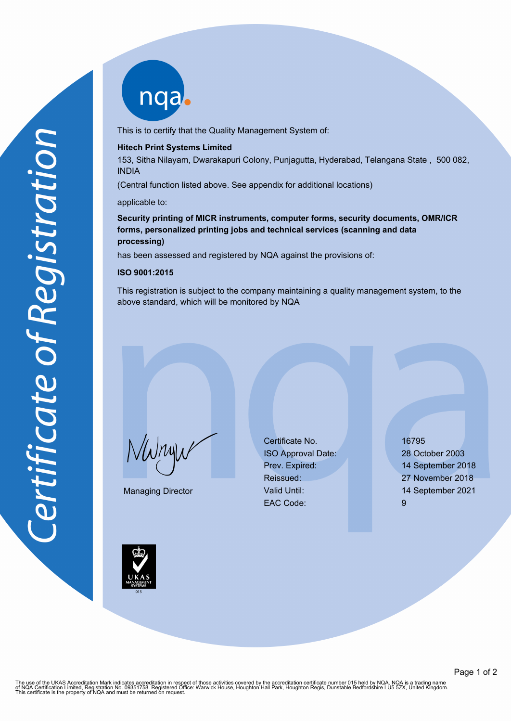nqab

This is to certify that the Quality Management System of:

### **Hitech Print Systems Limited**

153, Sitha Nilayam, Dwarakapuri Colony, Punjagutta, Hyderabad, Telangana State , 500 082, INDIA

(Central function listed above. See appendix for additional locations)

#### applicable to:

# **Security printing of MICR instruments, computer forms, security documents, OMR/ICR forms, personalized printing jobs and technical services (scanning and data processing)**

has been assessed and registered by NQA against the provisions of:

#### **ISO 9001:2015**

This registration is subject to the company maintaining a quality management system, to the above standard, which will be monitored by NQA

 $\sqrt{\mu}$ 

Managing Director

Certificate No. 16795 ISO Approval Date: 28 October 2003 Prev. Expired: 14 September 2018 Reissued: 27 November 2018 Valid Until: 14 September 2021 EAC Code: 9